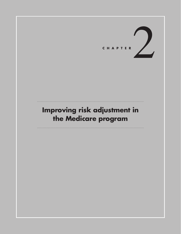

# **Improving risk adjustment in the Medicare program**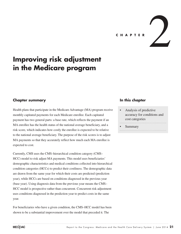**<sup>C</sup> HAPTER** 2

## **Improving risk adjustment in the Medicare program**

### **Chapter summary**

Health plans that participate in the Medicare Advantage (MA) program receive monthly capitated payments for each Medicare enrollee. Each capitated payment has two general parts: a base rate, which reflects the payment if an MA enrollee has the health status of the national average beneficiary, and a risk score, which indicates how costly the enrollee is expected to be relative to the national average beneficiary. The purpose of the risk scores is to adjust MA payments so that they accurately reflect how much each MA enrollee is expected to cost.

Currently, CMS uses the CMS–hierarchical condition category (CMS– HCC) model to risk adjust MA payments. This model uses beneficiaries' demographic characteristics and medical conditions collected into hierarchical condition categories (HCCs) to predict their costliness. The demographic data are drawn from the same year for which their costs are predicted (prediction year), while HCCs are based on conditions diagnosed in the previous year (base year). Using diagnosis data from the previous year means the CMS– HCC model is prospective rather than concurrent. Concurrent risk adjustment uses conditions diagnosed in the prediction year to predict costs in the same year.

For beneficiaries who have a given condition, the CMS–HCC model has been shown to be a substantial improvement over the model that preceded it. The

### **In this chapter**

- Analysis of predictive accuracy for conditions and cost categories
- **Summary**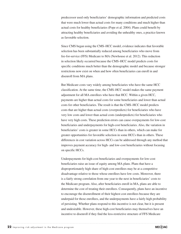predecessor used only beneficiaries' demographic information and predicted costs that were much lower than actual costs for many conditions and much higher than actual costs for healthy beneficiaries (Pope et al. 2004). Plans could benefit by attracting healthy beneficiaries and avoiding the unhealthy ones, a practice known as favorable selection.

Since CMS began using the CMS–HCC model, evidence indicates that favorable selection has been substantially reduced among beneficiaries who move from fee-for-service (FFS) Medicare to MA (Newhouse et al. 2012). This reduction in selection likely occurred because the CMS–HCC model predicts costs for specific conditions much better than the demographic model and because stronger restrictions now exist on when and how often beneficiaries can enroll in and disenroll from MA plans.

But Medicare costs vary widely among beneficiaries who have the same HCC classification. At the same time, the CMS–HCC model makes the same payment adjustment for all MA enrollees who have that HCC. Within a given HCC, payments are higher than actual costs for some beneficiaries and lower than actual costs for other beneficiaries. The result is that the CMS–HCC model predicts costs that are higher than actual costs (overpredicts) for beneficiaries who have very low costs and lower than actual costs (underpredicts) for beneficiaries who have very high costs. These prediction errors can cause overpayments for low-cost beneficiaries and underpayments for high-cost beneficiaries. Also, the variation in beneficiaries' costs is greater in some HCCs than in others, which can make for greater opportunities for favorable selection in some HCCs than in others. These differences in cost variation across HCCs can be addressed through any method that improves payment accuracy for high- and low-cost beneficiaries without focusing on specific HCCs.

Underpayments for high-cost beneficiaries and overpayments for low-cost beneficiaries raise an issue of equity among MA plans. Plans that have a disproportionately high share of high-cost enrollees may be at a competitive disadvantage relative to those whose enrollees have low costs. Moreover, there is a fairly strong correlation from one year to the next in beneficiaries' costs to the Medicare program. Also, after beneficiaries enroll in MA, plans are able to determine the cost of treating their enrollees. Consequently, plans have an incentive to encourage the disenrollment of their highest cost enrollees because they are underpaid for those enrollees, and the underpayments have a fairly high probability of persisting. Whether plans respond to this incentive is not clear, but it is present and undesirable. However, these high-cost beneficiaries may themselves have an incentive to disenroll if they find the less-restrictive structure of FFS Medicare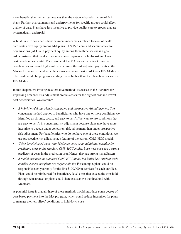more beneficial to their circumstances than the network-based structure of MA plans. Further, overpayments and underpayments for specific groups could affect quality of care. Plans have less incentive to provide quality care to groups that are systematically underpaid.

A final issue to consider is how payment inaccuracies related to level of health care costs affect equity among MA plans, FFS Medicare, and accountable care organizations (ACOs). If payment equity among these three sectors is a goal, risk adjustment that results in more accurate payments for high-cost and lowcost beneficiaries is vital. For example, if the MA sector can attract low-cost beneficiaries and avoid high-cost beneficiaries, the risk-adjusted payments in the MA sector would exceed what their enrollees would cost in ACOs or FFS Medicare. The result would be program spending that is higher than if all beneficiaries were in FFS Medicare.

In this chapter, we investigate alternative methods discussed in the literature for improving how well risk adjustment predicts costs for the highest cost and lowest cost beneficiaries. We examine:

- *• A hybrid model that blends concurrent and prospective risk adjustment.* The concurrent method applies to beneficiaries who have one or more conditions we identified as chronic, costly, and easy to verify. We want to use conditions that are easy to verify in concurrent risk adjustment because plans may have more incentive to upcode under concurrent risk adjustment than under prospective risk adjustment. For beneficiaries who do not have one of these conditions, we use prospective risk adjustment, a feature of the current CMS–HCC model.
- *• Using beneficiaries'base-year Medicare costs as an additional variable for predicting costs in the standard CMS–HCC model.* Base-year costs are a strong predictor of costs in the prediction year. Hence, they are strong risk adjusters.
- *• A model that uses the standard CMS–HCC model but limits how much of each enrollee's costs that plans are responsible for.* For example, plans could be responsible each year only for the first \$100,000 in services for each enrollee. Plans could be reimbursed for beneficiary-level costs that exceed the threshold through reinsurance, or plans could share costs above the threshold with Medicare.

A potential issue is that all three of these methods would introduce some degree of cost-based payment into the MA program, which could reduce incentives for plans to manage their enrollees' conditions to hold down costs.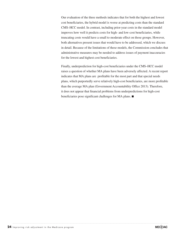Our evaluation of the three methods indicates that for both the highest and lowest cost beneficiaries, the hybrid model is worse at predicting costs than the standard CMS–HCC model. In contrast, including prior-year costs in the standard model improves how well it predicts costs for high- and low-cost beneficiaries, while truncating costs would have a small to moderate effect on those groups. However, both alternatives present issues that would have to be addressed, which we discuss in detail. Because of the limitations of these models, the Commission concludes that administrative measures may be needed to address issues of payment inaccuracies for the lowest and highest cost beneficiaries.

Finally, underprediction for high-cost beneficiaries under the CMS–HCC model raises a question of whether MA plans have been adversely affected. A recent report indicates that MA plans are profitable for the most part and that special needs plans, which purportedly serve relatively high-cost beneficiaries, are more profitable than the average MA plan (Government Accountability Office 2013). Therefore, it does not appear that financial problems from underpredictions for high-cost beneficiaries pose significant challenges for MA plans. ■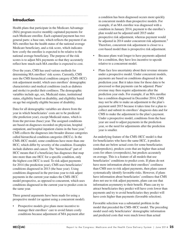## **Introduction**

Health plans that participate in the Medicare Advantage (MA) program receive monthly capitated payments for each Medicare enrollee. Each capitated payment has two general parts: a base rate, which reflects the payment if an MA enrollee has the health status of the national average Medicare beneficiary, and a risk score, which indicates how costly the enrollee is expected to be relative to the national average beneficiary. The purpose of the risk scores is to adjust MA payments so that they accurately reflect how much each MA enrollee is expected to cost.

Over the years, CMS has used various methods for determining MA enrollees' risk scores. Currently, CMS uses the CMS hierarchical condition category (CMS–HCC) risk-adjustment model, which uses enrollees' demographic characteristics and medical conditions (such as diabetes and stroke) to predict their costliness. The demographic variables include age, sex, Medicaid status, institutional status, eligibility based on disability, and eligibility based on age but originally eligible because of disability.

Data for all demographic variables are drawn from the year in which beneficiaries' costs are to be predicted (the prediction year), except Medicaid status, which is from the previous (base) year. The assigned conditions are based on diagnoses recorded on physician, hospital outpatient, and hospital inpatient claims in the base year.<sup>1</sup> CMS collects the diagnoses into broader disease categories called hierarchical condition categories (HCCs). In the CMS–HCC model, some conditions have more than one HCC, which differ by severity of the condition. Examples include diabetes and cancer. The "hierarchical" part of HCC means that if a beneficiary has diagnoses that map into more than one HCC for a specific condition, only the highest cost HCC is used. To risk adjust payments for 2014 (the prediction year), CMS uses beneficiaries' conditions diagnosed in 2013 (the base year). Using conditions diagnosed in the previous year to risk adjust payments in the current year makes the CMS–HCC model prospective, as opposed to concurrent, which uses conditions diagnosed in the current year to predict costs in the same year.

Three general arguments have been made for using a prospective model (or against using a concurrent model).

Prospective models give plans more incentive to manage their enrollees' care to avoid future costly conditions because adjustment of MA payment after

a condition has been diagnosed occurs more quickly in concurrent models than prospective models. For example, if an MA enrollee was diagnosed with a condition in January 2014, payment to the enrollee's plan would not be adjusted until 2015 under prospective risk adjustment, whereas payment would be adjusted in 2014 under concurrent risk adjustment.<sup>2</sup> Therefore, concurrent risk adjustment is closer to a cost-based model than is prospective risk adjustment.

- • Because plans wait longer to have payments adjusted for a condition, they have less incentive to upcode relative to a concurrent model.
- Plans face less uncertainty about their revenue streams under a prospective model. Under concurrent models, payments are based on conditions diagnosed in the prediction year. But it takes time for those data to be processed so that payments can be adjusted. Plans' revenue may then require adjustments after the prediction year ends. For example, if an MA enrollee has a condition diagnosed in December 2014, CMS may not be able to make an adjustment to the plan's payment until 2015 because it takes time for a plan to collect and submit its enrollees' diagnosis data and for CMS to make the adjustment to the plan's payment. Under a prospective model, conditions from the base year are used to adjust payments in the prediction year, so the need for adjustments after the prediction year is smaller.

An underlying feature of the CMS–HCC model is that for beneficiaries who have the same HCC, it predicts costs that are below actual costs for some beneficiaries (underpredicts), predicts costs that are higher than actual costs for others (overpredicts), but predicts accurately on average. This is a feature of all models that use beneficiaries' conditions to predict costs. If plans do not have more information about their enrollees' costliness than CMS uses to risk adjust payments, then plans cannot systematically identify favorable risks. However, if plans have information about beneficiaries' costliness that CMS does not use to risk adjust payments, plans can use that information asymmetry to their benefit. Plans can try to attract beneficiaries they predict will have costs lower than payments and try to avoid beneficiaries they predict will have costs higher than payments (favorable selection).

Favorable selection was a substantial problem in the model that preceded the CMS–HCC model. The preceding model used only beneficiaries' demographic information and predicted costs that were much lower than actual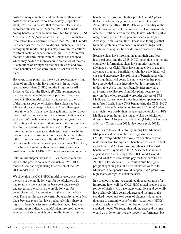costs for many conditions and much higher than actual costs for beneficiaries who were healthy (Pope et al. 2004). Research indicates that favorable selection has decreased substantially under the CMS–HCC model among beneficiaries who move from fee-for-service (FFS) Medicare to MA (Newhouse et al. 2012). This reduction in selection likely occurred because the CMS–HCC model predicts costs for specific conditions much better than the demographic model, and plans may have limited abilities to attract healthier beneficiaries within HCCs. Moreover, the rate of disenrollment from MA plans has declined, which may be due to more accurate prediction of the cost of conditions or stronger restrictions on when and how often beneficiaries can enroll in and disenroll from MA plans.

However, some plans may have a disproportionately high share of enrollees who have high costs. In particular, special needs plans (SNPs) and the Program for All-Inclusive Care for the Elderly (PACE) are intended to focus on vulnerable, high-cost populations. Because the CMS–HCC model typically underpredicts the cost of the highest cost beneficiaries, these plans can be at a financial disadvantage. Also, as MA enrollees spend more time in MA plans, the plans gain information about the cost of treating each enrollee. Research indicates that each person's health care costs the previous year are a relatively good predictor of their costs in the current year (we find a correlation coefficient of 0.4). Plans can use the information they have about their enrollees' costs in the previous year to make predictions about how much they will cost in the current year. But the CMS–HCC model does not include beneficiaries' prior-year costs. Therefore, plans have information about their existing enrollees' costliness that the CMS–HCC model does not account for.

Later in this chapter, we use 2010 as the base year and 2011 as the prediction year to evaluate a CMS–HCC model. CMS has begun using this version of the CMS– HCC model in 2014.

We show that the CMS–HCC model severely overpredicts the costs in the prediction year for beneficiaries who had relatively low costs in the base year and severely underpredicts the costs in the prediction year for beneficiaries who had relatively high costs in the base year. These results raise concerns about equity among MA plans because plans that have a relatively high share of high-cost beneficiaries may be disadvantaged. However, a recent report indicates that MA plans are profitable, on average, and SNPs, which purportedly focus on high-cost

beneficiaries, have even higher profits than MA plans that serve a broad range of beneficiaries (Government Accountability Office 2013). Data on profitability in the PACE program are not as complete, but Commission staff obtained profit data from five PACE sites, which reported margins of 3 percent to 11 percent (Medicare Payment Advisory Commission 2012). These results suggest that financial problems from underpayments for high-cost beneficiaries may not be a widespread problem in MA.

Because plans have information about their enrollees' historical costs and the CMS–HCC model does not include equivalent information, plans have an informational advantage over CMS. Plans have an incentive to use this advantage to retain beneficiaries who have low historical costs and encourage disenrollment of beneficiaries who have high historical costs. It is not clear whether plans have responded to this incentive, but it is present and undesirable. Also, high-cost beneficiaries may have an incentive to disenroll from MA plans because they may prefer the less-restrictive provider choices of FFS Medicare. At least one of these incentives appears to have manifested itself. Since CMS began using the CMS–HCC model, the beneficiaries who disenrolled from MA plans are much more costly than the average beneficiary in FFS Medicare, even though the rate at which beneficiaries disenroll from MA plans has declined (Medicare Payment Advisory Commission 2012, Newhouse et al. 2012).

If we desire financial neutrality among FFS Medicare, MA plans, and accountable care organizations (ACOs), overprediction for low-cost beneficiaries and underprediction for high-cost beneficiaries could present a problem. If MA plans have high shares of low-cost beneficiaries, payments in the MA sector that are risk adjusted with the existing CMS–HCC model would exceed what Medicare would pay for their enrollees in ACOs or FFS Medicare. The result would be higher program spending than if all beneficiaries were in FFS Medicare. The opposite would happen if MA plans have high shares of high-cost beneficiaries.

In a previous report, we examined three alternatives for improving how well the CMS–HCC model predicts costs for beneficiaries who have many conditions and generally have relatively high costs: add race and income to the standard model, use two years of diagnosis data rather than one to determine beneficiaries' conditions (HCCs), and add each beneficiary's number of conditions to the standard model. We found that adding race and income would do little to improve the model's performance, but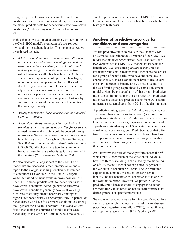using two years of diagnosis data and the number of conditions for each beneficiary would improve how well the model predicts costs for beneficiaries who have several conditions (Medicare Payment Advisory Commission 2012).

In this chapter, we explored alternative ways for improving the CMS–HCC model's prediction of costs for both low- and high-cost beneficiaries. The model changes we investigated include:

- *• A hybrid model that uses concurrent risk adjustment for beneficiaries who have been diagnosed with at least one condition we identified as chronic, costly, and easy to verify.* This model uses prospective risk adjustment for all other beneficiaries. Adding a concurrent component would provide plans larger, more immediate compensation for enrollees who develop high-cost conditions. However, concurrent adjustment raises concerns because it may reduce incentives for plans to manage their enrollees' care and may increase incentives to upcode. That is why we limited concurrent risk adjustment to conditions that are easy to verify.
- *• Adding beneficiaries'base-year costs to the standard CMS–HCC model.*
- *• A model that limits (truncates) how much of each beneficiary's costs a plan is responsible for.* Costs that exceed the truncation point could be covered through reinsurance. We examined two truncated models: one in which plans' costs for each enrollee are limited to \$250,000 and another in which plans' costs are limited to \$100,000. We chose these two dollar amounts because those limits are what is typically examined in the literature (Winkelman and Mehmud 2007).

We also evaluated an adjustment to the CMS–HCC model that we discussed in the Commission's June 2012 report to the Congress: adding beneficiaries' number of conditions as a variable. In the June 2012 report, we found this adjustment would improve how well the CMS–HCC model predicts costs for beneficiaries who have several conditions. Although beneficiaries who have several conditions generally have relatively high Medicare costs, they are not necessarily among the highest cost beneficiaries. For example, only 16 percent of beneficiaries who have five or more conditions are among the 1 percent most costly. Therefore, in this analysis we found that adding the number of conditions for each beneficiary to the CMS–HCC model would make only a

small improvement over the standard CMS–HCC model in terms of predicting total costs for beneficiaries who have a history of high costs.

## **Analysis of predictive accuracy for conditions and cost categories**

We use predictive ratios to evaluate the standard CMS– HCC model, a hybrid model, a version of the CMS–HCC model that includes beneficiaries' base-year costs, and two versions of the CMS–HCC model that truncate the beneficiary-level costs that plans are responsible for. Predictive ratios indicate how well a model predicts costs for a group of beneficiaries who have the same health characteristic, such as a condition or level of health care costs. For a group of beneficiaries, a predictive ratio is the cost for the group as predicted by a risk-adjustment model divided by the actual cost of that group. Predictive ratios are similar to payment-to-cost ratios. All predictive ratios we calculated use predicted costs from 2011 as the numerator and actual costs from 2011 as the denominator.

A predictive ratio greater than 1.0 indicates predicted costs are greater than actual costs for a group (overprediction); a predictive ratio less than 1.0 indicates predicted costs are less than actual costs for a group (underprediction); and a predictive ratio that equals 1.0 indicates predicted costs equal actual costs for a group. Predictive ratios that differ from 1.0 are a concern because they indicate plans have an opportunity to benefit financially through favorable selection rather than through effective management of their enrollees' care.

An alternative measure of model performance is the  $R^2$ , which tells us how much of the variation in individuallevel health care spending is explained by the model. An  $R<sup>2</sup>$  of 0.40 means a model has explained 40 percent of the variation in beneficiaries' costs. The less variation explained by a model, the easier it is for plans to identify and use beneficiaries' characteristics to engage in favorable selection. However, we prefer to use the predictive ratio because efforts to engage in selection are more likely to be based on health characteristics that define groups, not specific individuals.

We evaluated predictive ratios for nine specific conditions: cancer, diabetes, chronic obstructive pulmonary disease (COPD), congestive heart failure (CHF), mental illness, schizophrenia, acute myocardial infarction (AMI),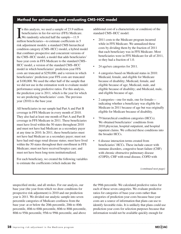## **Method for estimating and evaluating CMS–HCC model**

In this analysis, we used a sample of 23.9 millio<br>beneficiaries in fee-for-service (FFS) Medicare<br>We randomly selected half the sample—11.9<br>million beneficiaries—to estimate coefficients in 5 n this analysis, we used a sample of 23.9 million beneficiaries in fee-for-service (FFS) Medicare. We randomly selected half the sample—11.9 risk adjustment models: a standard CMS hierarchical condition category (CMS–HCC) model, a hybrid model that combines prospective and concurrent versions of the CMS–HCC model, a model that adds beneficiaries' base-year costs in FFS Medicare to the standard CMS– HCC model, a version of the standard CMS–HCC model in which beneficiaries' prediction-year FFS costs are truncated at \$250,000, and a version in which beneficiaries' prediction-year FFS costs are truncated at \$100,000. We used the other half of the sample that we did not use in the estimation work to evaluate model performance using predictive ratios. For this analysis, the prediction year is 2011, which is the year for which we are predicting beneficiaries' costs. The previous year (2010) is the base year.

All beneficiaries in our sample had Part A and Part B coverage in FFS Medicare in every month of 2010. They also had at least one month of Part A and Part B coverage in FFS Medicare in 2011. These beneficiaries must have lived within the 50 states throughout 2010 and must not have had Medicare as a secondary payer at any time in 2010. In 2011, these beneficiaries must not have had Medicare as a secondary payer; must not have had end-stage renal disease status; must have lived within the 50 states throughout their enrollment in FFS Medicare; must not have received hospice care; and must not have been long-term institutionalized.

For each beneficiary, we created the following variables to estimate the coefficients (which indicate the

additional cost of a characteristic or condition) of the standard CMS–HCC model:

- 2011 costs to the Medicare program incurred while in FFS Medicare. We annualized these costs by dividing them by the fraction of 2011 that each beneficiary was in FFS Medicare. Most beneficiaries were in FFS Medicare for all of 2011, so they had a fraction of 1.0.
- 24 age/sex categories for 2011.
- 4 categories based on Medicaid status in 2010: Medicaid, female, and eligible for Medicare because of disability; Medicaid, female, and eligible because of age; Medicaid, male, and eligible because of disability; and Medicaid, male, and eligible because of age.
- 2 categories—one for male, one for female indicating whether a beneficiary was eligible for Medicare in 2011 because of age but was originally eligible for Medicare because of disability.
- 79 hierarchical condition categories (HCCs). We obtained beneficiaries' conditions from 2010 physician, hospital outpatient, and hospital inpatient claims. We collected these conditions into the broader HCCs.
- 6 disease interaction terms created from beneficiaries' HCCs. These include cancer with immune disorders, congestive heart failure (CHF) with chronic obstructive pulmonary disease (COPD), CHF with renal disease, COPD with

*(continued next page)*

unspecified stroke, and all strokes. For our analysis, our base year (the year from which we draw conditions for prospective risk adjustment) is 2010 and our prediction year is 2011. We divided our analytic sample into seven percentile categories of Medicare costliness from the base year: at or below the 20th percentile, 20th to 40th percentile, 40th to 60th percentile, 60th to 80th percentile, 80th to 95th percentile, 95th to 99th percentile, and above

the 99th percentile. We calculated predictive ratios for each of these seven categories. We evaluate predictive ratios for categories of base-year costs rather than categories of prediction-year costs because base-year costs are a source of information that plans can use to identify favorable risks. It is unlikely that plans could use prediction-year costs for selection purposes because that information would not be available quickly enough for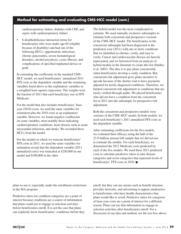## **Method for estimating and evaluating CMS–HCC model (cont.)**

cardiorespiratory failure, diabetes with CHF, and sepsis with cardiorespiratory failure.

• 6 disabled/disease interaction terms for beneficiaries who were under age 65 (eligible because of disability) and had one of the following HCCs: opportunistic infections, chronic pancreatitis, severe hematological disorders, alcohol psychosis, cystic fibrosis, and complications of specified implanted device or graft.

In estimating the coefficients in the standard CMS– HCC model, we used beneficiaries' annualized 2011 FFS costs as the dependent variable and the remaining variables listed above as the explanatory variables in a weighted least squares regression. The weights were the fraction of 2011 that each beneficiary was in FFS Medicare.

For the model that also includes beneficiaries' baseyear (2010) costs, we used the same variables for estimation plus the 2010 costs as an explanatory variable. However, we found negative coefficients on some variables, most notably those indicating cardiorespiratory conditions, heart disease such as acute myocardial infarction, and stroke. We excluded these HCCs from the model.

For the models in which we truncate beneficiaries' FFS costs in 2011, we used the same variables for estimation except that the dependent variable (2011 annualized costs) was truncated at \$250,000 in one model and \$100,000 in the other.

The hybrid model was the most complicated to estimate. We used mutually exclusive subsamples to estimate both concurrent and prospective versions of the CMS–HCC model. The beneficiaries in the concurrent subsample had been diagnosed in the prediction year (2011) with one or more conditions that we identified as chronic, costly, and easy to verify. Cancer and cardiovascular disease are heavily represented, and we borrowed from an analysis of hybrid models in the literature to create this list (Dudley et al. 2003). The idea is to pay plans concurrently when beneficiaries develop a costly condition. But, concurrent risk adjustment gives plans incentive to upcode because of the shorter wait to have payments adjusted for newly diagnosed conditions. Therefore, we limited concurrent risk adjustment to conditions that are easily verified through audits. We placed beneficiaries who did not have a condition from the concurrent list in 2011 into the subsample for prospective risk adjustment.

Both the concurrent and prospective models were versions of the CMS–HCC model. In both models, we used each beneficiary's 2011 annualized FFS costs as the dependent variable.

After estimating coefficients for the five models, we evaluated their efficacy using the half of the 23.9 million–person full sample that we did not use to estimate the models. For each beneficiary, we determined the 2011 Medicare costs predicted by each of the five models. We used these 2011 predicted costs to calculate predictive ratios in nine disease categories and seven categories that represent levels of beneficiaries' FFS costs in 2010. ■

plans to use it, especially under the enrollment restrictions in the MA program.

Predictive ratios for condition categories are a point of interest because conditions are a source of information that plans could use to engage in selection activities before beneficiaries enroll. It is not the case that plans can explicitly know beneficiaries' conditions before they enroll, but they can use means such as benefit structure, provider networks, and advertising to appear unattractive to beneficiaries who have health characteristics that plans would like to avoid. Predictive ratios for categories of base-year costs are a point of interest for a different reason: Plans can use that information to engage in selection activities after beneficiaries enroll. For a discussion of our data and method, see the text box above.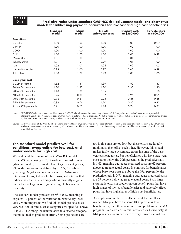#### **2–1 Predictive ratios under standard CMS–HCC risk adjustment model and alternative models for addressing payment inaccuracies for low-cost and high-cost beneficiaries**

|                        | <b>Standard</b><br>model | <b>Hybrid</b><br>model | <b>Include</b><br>prior-year costs | <b>Truncate costs</b><br>at \$250,000 | <b>Truncate costs</b><br>at \$100,000 |
|------------------------|--------------------------|------------------------|------------------------------------|---------------------------------------|---------------------------------------|
| <b>Conditions</b>      |                          |                        |                                    |                                       |                                       |
| <b>Diabetes</b>        | 1.00                     | 1.00                   | 1.00                               | 1.00                                  | 0.99                                  |
| Cancer                 | 1.00                     | 1.00                   | 1.00                               | 1.00                                  | 1.00                                  |
| <b>COPD</b>            | 1.00                     | 1.00                   | 1.00                               | 1.00                                  | 1.00                                  |
| <b>CHF</b>             | 1.00                     | 1.00                   | 1.00                               | 1.00                                  | 0.99                                  |
| Mental illness         | 1.01                     | 1.00                   | 1.01                               | 1.01                                  | 1.01                                  |
| Schizophrenia          | 1.01                     | 1.01                   | 0.99                               | 1.01                                  | 1.00                                  |
| AMI                    | 1.02                     | 1.01                   | 1.24                               | 1.02                                  | 1.02                                  |
| Unspecified stroke     | 0.99                     | 1.00                   | 0.97                               | 1.00                                  | 0.99                                  |
| All strokes            | 1.00                     | 1.02                   | 0.99                               | 1.00                                  | 1.00                                  |
| <b>Base-year cost</b>  |                          |                        |                                    |                                       |                                       |
| $\leq$ 20th percentile | 1.62                     | 1.87                   | 1.39                               | 1.62                                  | 1.63                                  |
| 20th-40th percentile   | 1.30                     | 1.22                   | 1.10                               | 1.30                                  | 1.30                                  |
| 40th-60th percentile   | 1.10                     | 1.00                   | 0.95                               | 1.10                                  | 1.10                                  |
| 60th-80th percentile   | 0.95                     | 0.88                   | 0.87                               | 0.95                                  | 0.95                                  |
| 80th-95th percentile   | 0.86                     | 0.81                   | 0.92                               | 0.86                                  | 0.85                                  |
| 95th-99th percentile   | 0.82                     | 0.76                   | 1.10                               | 0.82                                  | 0.81                                  |
| Above 99th percentile  | 0.71                     | 0.65                   | 1.18                               | 0.74                                  | 0.81                                  |

Note: CMS–HCC (CMS–hierarchical condition category), COPD (chronic obstructive pulmonary disease), CHF (congestive heart failure), AMI (acute myocardial infarction). Beneficiaries' base-year costs are from the year before costs are predicted. Predictive ratios are total predicted costs for a group of beneficiaries divided by their total actual costs. In this table, predicted costs are from 2011 and base-year costs are from 2010.

Source: MedPAC analysis of 2010 and 2011 standard analytic files of physician/office claims, hospital inpatient claims, and hospital outpatient claims; 2012 Common Medicare Environment file from Acumen LLC; 2011 denominator file from Acumen LLC; 2011 beneficiary annual summary file from Acumen LLC; and 2011 risk score file from Acumen LLC.

#### **The standard model predicts well for conditions, overpredicts for low cost, and underpredicts for high cost**

We evaluated the version of the CMS–HCC model that CMS began using in 2014 to determine risk scores (standard model). This model has 24 age/sex categories, 79 condition categories defined by HCCs, 6 disabled (under age 65)/disease interaction terms, 6 diseaseinteraction terms, 4 dual-eligible terms, and 2 terms that indicate whether a beneficiary who is currently eligible on the basis of age was originally eligible because of disability.

The standard model produces an  $R^2$  of 0.12, meaning it explains 12 percent of the variation in beneficiary-level costs. More important, we find this model predicts costs very well for all nine disease categories we specified above (Table 2-1). Among the beneficiaries in a disease category, the model makes prediction errors. Some predictions are

too high, some are too low, but these errors are largely random, so they offset each other. However, this model makes fairly large systematic errors in some of the baseyear cost categories. For beneficiaries who have base-year costs at or below the 20th percentile, the predictive ratio is 1.62, meaning aggregate predicted costs are 62 percent above aggregate actual costs. In contrast, for beneficiaries whose base-year costs are above the 99th percentile, the predictive ratio is 0.71, meaning aggregate predicted costs are 29 percent below aggregate actual costs. Such large systematic errors in prediction can benefit plans that have high shares of low-cost beneficiaries and adversely affect plans that have high shares of high-cost beneficiaries.

An implication of these results is that if the enrollees in each MA plan have the same HCC profile as FFS beneficiaries, then there is no selection problem in the MA program. Predicted costs equal actual costs. Conversely, if MA plans have a higher share of very low-cost enrollees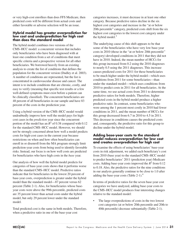or very high-cost enrollees than does FFS Medicare, then predicted costs will be different from actual costs and either favorable or adverse selection will be an issue.

#### **Hybrid model has greater overprediction for low cost and underprediction for high cost than does the standard model**

The hybrid model combines two versions of the CMS–HCC model: a concurrent version that includes only beneficiaries who have been diagnosed with at least one condition from a set of conditions that meet specific criteria and a prospective version for all other beneficiaries. We borrowed heavily from an existing analysis to create the list of conditions that defines the population for the concurrent version (Dudley et al. 2003). A number of conditions are represented, but the list is concentrated in cardiovascular disease and cancer. The intent is to include conditions that are chronic, costly, and easy to verify (meaning that specific test results or a few well-defined symptoms must exist before a patient can be clinically classified). The concurrent beneficiaries are 48 percent of all beneficiaries in our sample and have 83 percent of the costs in the prediction year.

Using a hybrid version of the CMS–HCC model would undoubtedly improve how well the model pays for highcost cases in the *prediction* year since the concurrent portion of the model has an  $R^2$  of 0.38 compared with 0.12 for the standard CMS–HCC model. However, we should not be strongly concerned about how well a model predicts costs for high-cost cases in the current year because restrictions on when and how often beneficiaries can enroll in or disenroll from the MA program strongly limit prediction-year costs from being used to identify favorable risks. Instead, our focus is on how well costs are predicted for beneficiaries who have high costs in the *base* year.

Our analysis of how well the hybrid model predicts for categories of base-year costs shows that it performs worse than the standard CMS–HCC model. Predictive ratios indicate that for beneficiaries in the lowest 20 percent of base-year costs, overprediction is greater under the hybrid model than the standard model—87 percent versus 62 percent (Table 2-1). Also, for beneficiaries whose baseyear costs were above the 99th percentile, predicted costs are 35 percent lower than actual costs under the hybrid model, but only 29 percent lower under the standard model.

Total predicted cost is the same in both models. Therefore, when a predictive ratio in one of the base-year cost

categories increases, it must decrease in at least one other category. Because predictive ratios decline in the six highest cost categories and increase in the "at or below 20th percentile" category, predicted costs shift from the six highest cost categories to the lowest cost category under the hybrid model. $3$ 

The underlying cause of this shift appears to be that some of the beneficiaries who have very low base-year costs in 2010 (those in the "at or below 20th percentile" category) developed conditions in 2011 that they did not have in 2010. Indeed, the mean number of HCCs for this group increased from 0.2 using the 2010 diagnoses to nearly 0.5 using the 2011 diagnoses. This increase causes predicted costs for 2011 for these beneficiaries to be much higher under the hybrid model—which uses conditions from 2011 for some beneficiaries—than under the standard model—which uses conditions from 2010 to predict costs in 2011 for all beneficiaries. At the same time, we use actual costs from 2011 to determine predictive ratios for both models. Therefore, higher predicted costs in the hybrid model produce a higher predictive ratio. In contrast, some beneficiaries who were among the 1 percent most costly in 2010 had fewer conditions in 2011, and the mean number of HCCs for this group decreased from 6.7 in 2010 to 4.5 in 2011. This decrease in conditions causes the predicted costs and, consequently, the predictive ratio for this group to decline under the hybrid model.

#### **Adding base-year costs to the standard model reduces overprediction for low cost and creates overprediction for high cost**

To examine the effects of using beneficiaries' base-year costs in risk adjustment, we added each beneficiary's cost from 2010 (base year) to the standard CMS–HCC model to predict beneficiaries' 2011 (prediction year) Medicare costs. Adding base-year costs improved the  $R^2$  from 0.12 to 0.18. Also, the predictive ratios for the nine conditions in our analysis generally continue to be close to 1.0 after adding the base-year costs (Table 2-1).<sup>4</sup>

In terms of predictive ratios for the seven base-year cost categories we have analyzed, adding base-year costs to the CMS–HCC model produces four interesting changes relative to the standard model:

The large overpredictions of costs in the two lowest cost categories (at or below 20th percentile and 20th to 40th percentile) decrease substantially (Table 2-1).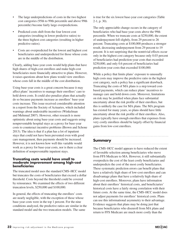- The large underpredictions of costs in the two highest cost categories (95th to 99th percentile and above 99th percentile) become fairly large overpredictions.
- Predicted costs shift from the four lowest cost categories (resulting in lower predictive ratios) to the three highest cost categories (resulting in higher predictive ratios).
- • Costs are overpredicted for the lowest and highest cost beneficiaries and underpredicted for those whose costs are in the middle of the distribution.

Clearly, adding base-year costs would help plans that have high shares of high-cost enrollees and make high-cost beneficiaries more financially attractive to plans. However, it raises questions about how plans would view enrollees whose costs fall in the middle of the cost distribution.

Using base-year costs is a great concern because it may affect plans' incentives to manage their enrollees' care to hold down costs. It could also penalize plans that actually do so because payments increase as enrollees' base-year costs increase. This issue received considerable attention in a report from the Society of Actuaries, which included warnings about undesirable incentives (Winkelman and Mehmud 2007). However, other research is more optimistic about using base-year costs and suggests using nonpreventable hospital stays as a proxy for base-year costs to counteract incentive problems (Brown and Schone 2013). The idea is that if a plan has a lot of inpatient stays that could not have been prevented even with good care management, then payments should be increased. However, it is not known how well this variable would work as a proxy for base-year costs, nor is there a clear definition of nonpreventable inpatient stays.

#### **Truncating costs would have small to moderate improvement among high-cost beneficiaries**

The truncated model uses the standard CMS–HCC model but truncates the costs of beneficiaries that exceed a dollar threshold. Costs beyond the threshold could be covered by reinsurance. We examined the effects of two different truncation levels, \$250,000 and \$100,000.

In general, the effects of truncating the enrollees' costs are nearly negligible, with the exception of those whose base-year costs were in the top 1 percent. For the nine conditions analyzed, the predictive ratios are similar in the standard model and the two truncation models. The same

is true for the six lowest base-year cost categories (Table 2-1, p. 30).

The only appreciable change occurs in the category of beneficiaries who had base-year costs above the 99th percentile. When we truncate costs at \$250,000, the extent of underpayment fell slightly, from 29 percent to 26 percent. Truncating costs at \$100,000 produces a stronger result, decreasing underpayment from 29 percent to 19 percent. It is not surprising that the nontrivial effects occur only in the highest cost category because only 0.03 percent of beneficiaries had prediction-year costs that exceeded \$250,000, and only 0.6 percent of beneficiaries had prediction-year costs that exceeded \$100,000.

While a policy that limits plans' exposure to unusually high costs may improve the predictive ratio in the highest cost category, such a policy has a significant drawback. Truncating the costs of MA plans is a step toward costbased payments, which can reduce plans' incentives to manage care and hold down costs. Moreover, limitations on risk may be justified when plans face substantial uncertainty about the risk profile of their enrollees, but this is unlikely the case for MA plans. The MA program has existed for many years, so plans should have little uncertainty about the risk profile of their enrollees. Also, plans typically have enough enrollees that expenses from very costly enrollees should be largely offset by financial gains from low-cost enrollees.

## **Summary**

The CMS–HCC model appears to have reduced the extent of favorable selection among beneficiaries who move from FFS Medicare to MA. However, it still substantially overpredicts the cost of the least costly beneficiaries and underpredicts the cost of the most costly beneficiaries. These systematic prediction errors can benefit plans that have a relatively high share of low-cost enrollees and can disadvantage plans that have a relatively high share of high-cost enrollees. Moreover, plans have information about their enrollees' historical costs, and beneficiaries' historical costs have a fairly strong correlation with their future costs. At the same time, the CMS–HCC model does not adjust payments for enrollees' historical costs. Plans can use this informational asymmetry to their advantage. Evidence suggests that plans may be doing just that because beneficiaries who disenroll from MA plans and return to FFS Medicare are much more costly than the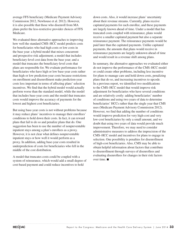average FFS beneficiary (Medicare Payment Advisory Commission 2012, Newhouse et al. 2012). However, it is also possible that those who disenroll from MA plans prefer the less-restrictive provider choices of FFS Medicare.

We evaluated three alternative approaches to improving how well the standard CMS–HCC model predicts costs for beneficiaries who had high costs or low costs in the base year: a hybrid model that mixes concurrent and prospective risk adjustment; a model that includes beneficiary-level cost data from the base year; and a model that truncates the beneficiary-level costs that plans are responsible for. We evaluate performance for beneficiaries who have high or low base-year costs rather than high or low prediction-year costs because restrictions on enrollment and disenrollment make prediction-year costs less important in terms of affecting plans' selection incentives. We find that the hybrid model would actually perform worse than the standard model, while the model that includes base-year costs and the model that truncates costs would improve the accuracy of payments for the lowest and highest cost beneficiaries.

But using base-year costs is not without problems because it may reduce plans' incentives to manage their enrollees' conditions to hold down their costs. In fact, it can reward plans that fail to do so and penalize plans that do. One suggestion has been to use the number of nonpreventable inpatient stays among a plan's enrollees as a proxy. However, it is not clear what defines nonpreventable inpatient stays or how well it would perform as a proxy. In addition, adding base-year costs resulted in underprediction of costs for beneficiaries who fell in the middle of the cost distribution.

A model that truncates costs could be coupled with a system of reinsurance, which would add a small degree of cost-based payment and could reduce incentives to hold

down costs. Also, it would increase plans' uncertainty about their revenue streams. Currently, plans receive capitated payments for each enrollee, and these payments are largely known ahead of time. Under a model that has truncated costs coupled with reinsurance, plans would receive a smaller capitated payment but also a separate reinsurance payment. The reinsurance payments would be paid later than the capitated payments. Unlike capitated payments, the amounts that plans would receive in reinsurance payments are largely unknown ahead of time and would result in a revenue shift among plans.

In summary, the alternative approaches we evaluated either do not improve the performance of the CMS–HCC model or could create other problems, including less incentive for plans to manage care and hold down costs, penalizing plans that do so, and increasing incentives to upcode. In a previous report, we identified two modifications to the CMS–HCC model that would improve risk adjustment for beneficiaries who have several conditions and are relatively costly: adding beneficiaries' number of conditions and using two years of data to determine beneficiaries' HCCs rather than the single year that CMS uses (Medicare Payment Advisory Commission 2012). However, we find that adding the number of conditions would improve prediction for very high-cost and very low-cost beneficiaries by only a small amount, and we doubt that using two years of data would provide much improvement. Therefore, we may need to consider administrative measures to address the imprecision of the CMS–HCC model and incentives for plans to engage in selection. One possibility is penalties for disenrollment of high-cost beneficiaries. Also, CMS may be able to obtain helpful information about factors that contribute to disenrollment through surveys of disenrollees and evaluating disenrollees for changes in their risk factors over time. ■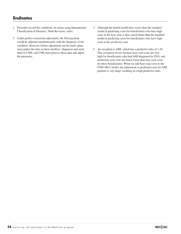## **Endnotes**

- 1 Providers record the conditions on claims using International Classification of Diseases, Ninth Revision, codes.
- 2 Under perfect concurrent adjustment, the MA payment would be adjusted simultaneously with the diagnosis of the condition. However, before adjustment can be made, plans must gather the data on their enrollees' diagnoses and send them to CMS, and CMS must process those data and adjust the payments.
- 3 Although the hybrid model does worse than the standard model at predicting costs for beneficiaries who have high costs in the *base* year, it does much better than the standard model at predicting costs for beneficiaries who have high costs in the *prediction* year.
- 4 An exception is AMI, which has a predictive ratio of 1.24. This exception occurs because base-year costs are very high for beneficiaries who had AMI diagnosed in 2010, and prediction-year costs are much lower than base-year costs for these beneficiaries. When we add base-year costs to the CMS–HCC model, the adjustment to predicted costs for AMI patients is very large, resulting in a high predictive ratio.